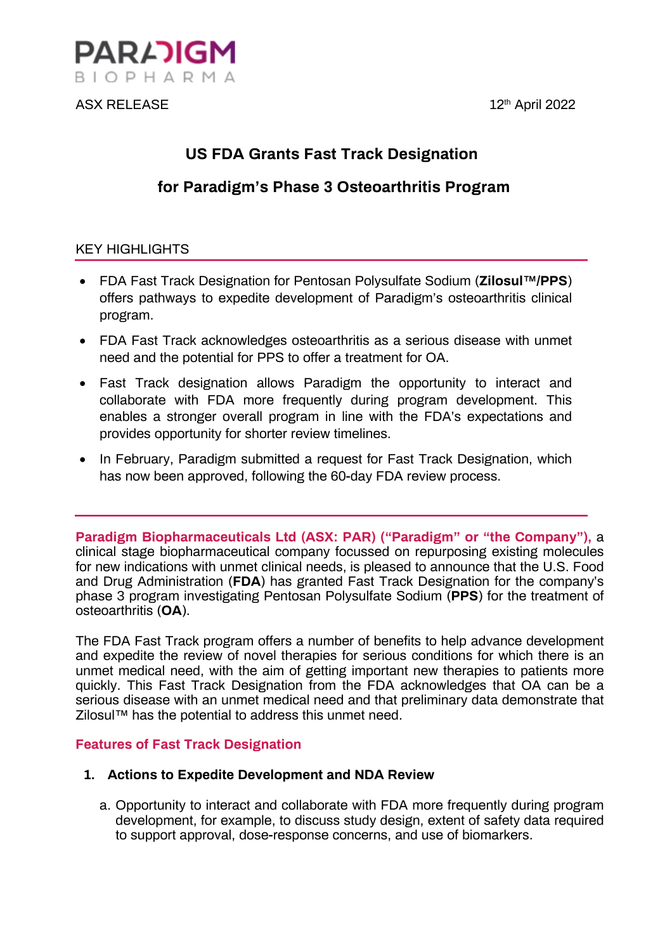

ASX RELEASE 12th April 2022

# **US FDA Grants Fast Track Designation**

## **for Paradigm's Phase 3 Osteoarthritis Program**

### KEY HIGHLIGHTS

- FDA Fast Track Designation for Pentosan Polysulfate Sodium (**Zilosul™/PPS**) offers pathways to expedite development of Paradigm's osteoarthritis clinical program.
- FDA Fast Track acknowledges osteoarthritis as a serious disease with unmet need and the potential for PPS to offer a treatment for OA.
- Fast Track designation allows Paradigm the opportunity to interact and collaborate with FDA more frequently during program development. This enables a stronger overall program in line with the FDA's expectations and provides opportunity for shorter review timelines.
- In February, Paradigm submitted a request for Fast Track Designation, which has now been approved, following the 60-day FDA review process.

**Paradigm Biopharmaceuticals Ltd (ASX: PAR) ("Paradigm" or "the Company"),** a clinical stage biopharmaceutical company focussed on repurposing existing molecules for new indications with unmet clinical needs, is pleased to announce that the U.S. Food and Drug Administration (**FDA**) has granted Fast Track Designation for the company's phase 3 program investigating Pentosan Polysulfate Sodium (**PPS**) for the treatment of osteoarthritis (**OA**).

The FDA Fast Track program offers a number of benefits to help advance development and expedite the review of novel therapies for serious conditions for which there is an unmet medical need, with the aim of getting important new therapies to patients more quickly. This Fast Track Designation from the FDA acknowledges that OA can be a serious disease with an unmet medical need and that preliminary data demonstrate that Zilosul™ has the potential to address this unmet need.

#### **Features of Fast Track Designation**

#### **1. Actions to Expedite Development and NDA Review**

a. Opportunity to interact and collaborate with FDA more frequently during program development, for example, to discuss study design, extent of safety data required to support approval, dose-response concerns, and use of biomarkers.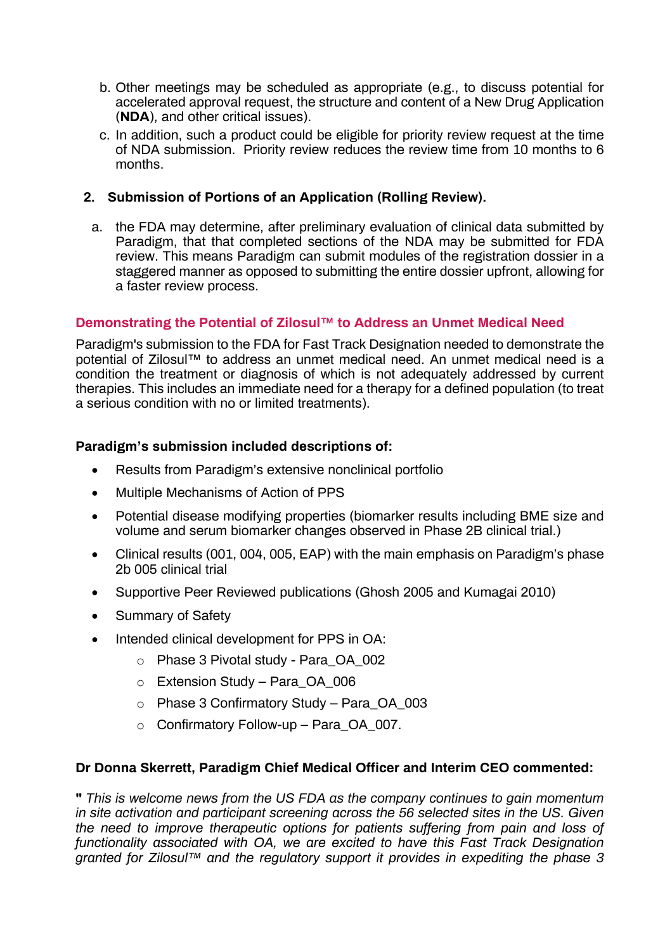- b. Other meetings may be scheduled as appropriate (e.g., to discuss potential for accelerated approval request, the structure and content of a New Drug Application (**NDA**), and other critical issues).
- c. In addition, such a product could be eligible for priority review request at the time of NDA submission. Priority review reduces the review time from 10 months to 6 months.

### **2. Submission of Portions of an Application (Rolling Review).**

a. the FDA may determine, after preliminary evaluation of clinical data submitted by Paradigm, that that completed sections of the NDA may be submitted for FDA review. This means Paradigm can submit modules of the registration dossier in a staggered manner as opposed to submitting the entire dossier upfront, allowing for a faster review process.

### **Demonstrating the Potential of Zilosul™ to Address an Unmet Medical Need**

Paradigm's submission to the FDA for Fast Track Designation needed to demonstrate the potential of Zilosul™ to address an unmet medical need. An unmet medical need is a condition the treatment or diagnosis of which is not adequately addressed by current therapies. This includes an immediate need for a therapy for a defined population (to treat a serious condition with no or limited treatments).

### **Paradigm's submission included descriptions of:**

- Results from Paradigm's extensive nonclinical portfolio
- Multiple Mechanisms of Action of PPS
- Potential disease modifying properties (biomarker results including BME size and volume and serum biomarker changes observed in Phase 2B clinical trial.)
- Clinical results (001, 004, 005, EAP) with the main emphasis on Paradigm's phase 2b 005 clinical trial
- Supportive Peer Reviewed publications (Ghosh 2005 and Kumagai 2010)
- Summary of Safety
- Intended clinical development for PPS in OA:
	- o Phase 3 Pivotal study Para\_OA\_002
	- o Extension Study Para\_OA\_006
	- $\circ$  Phase 3 Confirmatory Study Para OA 003
	- $\circ$  Confirmatory Follow-up Para OA 007.

#### **Dr Donna Skerrett, Paradigm Chief Medical Officer and Interim CEO commented:**

**"** *This is welcome news from the US FDA as the company continues to gain momentum in site activation and participant screening across the 56 selected sites in the US. Given the need to improve therapeutic options for patients suffering from pain and loss of functionality associated with OA, we are excited to have this Fast Track Designation granted for Zilosul™ and the regulatory support it provides in expediting the phase 3*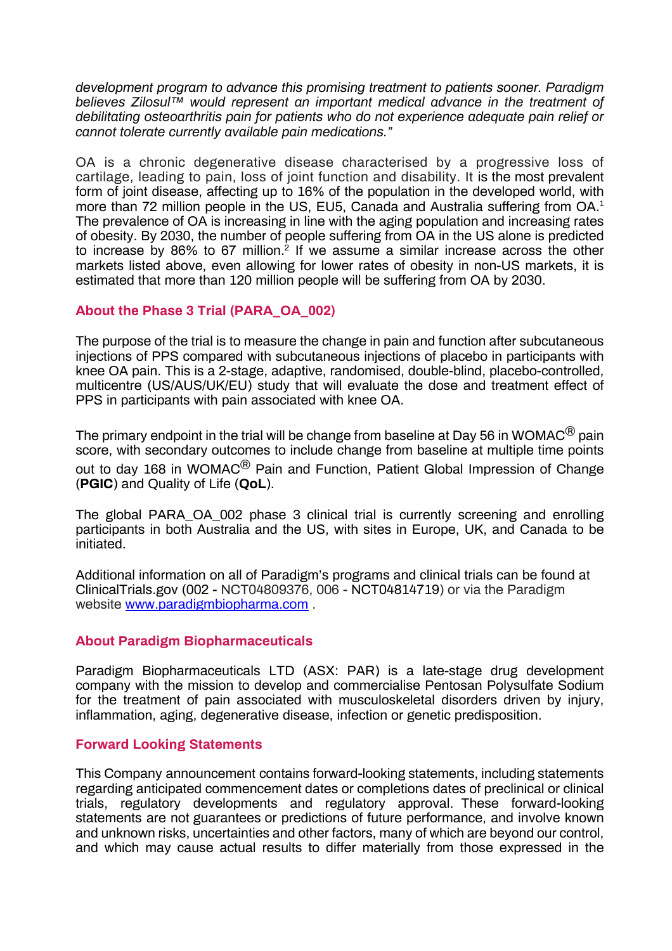*development program to advance this promising treatment to patients sooner. Paradigm believes Zilosul™ would represent an important medical advance in the treatment of debilitating osteoarthritis pain for patients who do not experience adequate pain relief or cannot tolerate currently available pain medications."*

OA is a chronic degenerative disease characterised by a progressive loss of cartilage, leading to pain, loss of joint function and disability. It is the most prevalent form of joint disease, affecting up to 16% of the population in the developed world, with more than 72 million people in the US, EU5, Canada and Australia suffering from OA.<sup>1</sup> The prevalence of OA is increasing in line with the aging population and increasing rates of obesity. By 2030, the number of people suffering from OA in the US alone is predicted to increase by 86% to 67 million.<sup>2</sup> If we assume a similar increase across the other markets listed above, even allowing for lower rates of obesity in non-US markets, it is estimated that more than 120 million people will be suffering from OA by 2030.

#### **About the Phase 3 Trial (PARA\_OA\_002)**

The purpose of the trial is to measure the change in pain and function after subcutaneous injections of PPS compared with subcutaneous injections of placebo in participants with knee OA pain. This is a 2-stage, adaptive, randomised, double-blind, placebo-controlled, multicentre (US/AUS/UK/EU) study that will evaluate the dose and treatment effect of PPS in participants with pain associated with knee OA.

The primary endpoint in the trial will be change from baseline at Day 56 in WOMAC $^\circledR$  pain score, with secondary outcomes to include change from baseline at multiple time points out to day 168 in WOMAC<sup>®</sup> Pain and Function, Patient Global Impression of Change (**PGIC**) and Quality of Life (**QoL**).

The global PARA\_OA\_002 phase 3 clinical trial is currently screening and enrolling participants in both Australia and the US, with sites in Europe, UK, and Canada to be initiated.

Additional information on all of Paradigm's programs and clinical trials can be found at ClinicalTrials.gov (002 - NCT04809376, 006 - NCT04814719) or via the Paradigm website www.paradigmbiopharma.com .

#### **About Paradigm Biopharmaceuticals**

Paradigm Biopharmaceuticals LTD (ASX: PAR) is a late-stage drug development company with the mission to develop and commercialise Pentosan Polysulfate Sodium for the treatment of pain associated with musculoskeletal disorders driven by injury, inflammation, aging, degenerative disease, infection or genetic predisposition.

#### **Forward Looking Statements**

This Company announcement contains forward-looking statements, including statements regarding anticipated commencement dates or completions dates of preclinical or clinical trials, regulatory developments and regulatory approval. These forward-looking statements are not guarantees or predictions of future performance, and involve known and unknown risks, uncertainties and other factors, many of which are beyond our control, and which may cause actual results to differ materially from those expressed in the